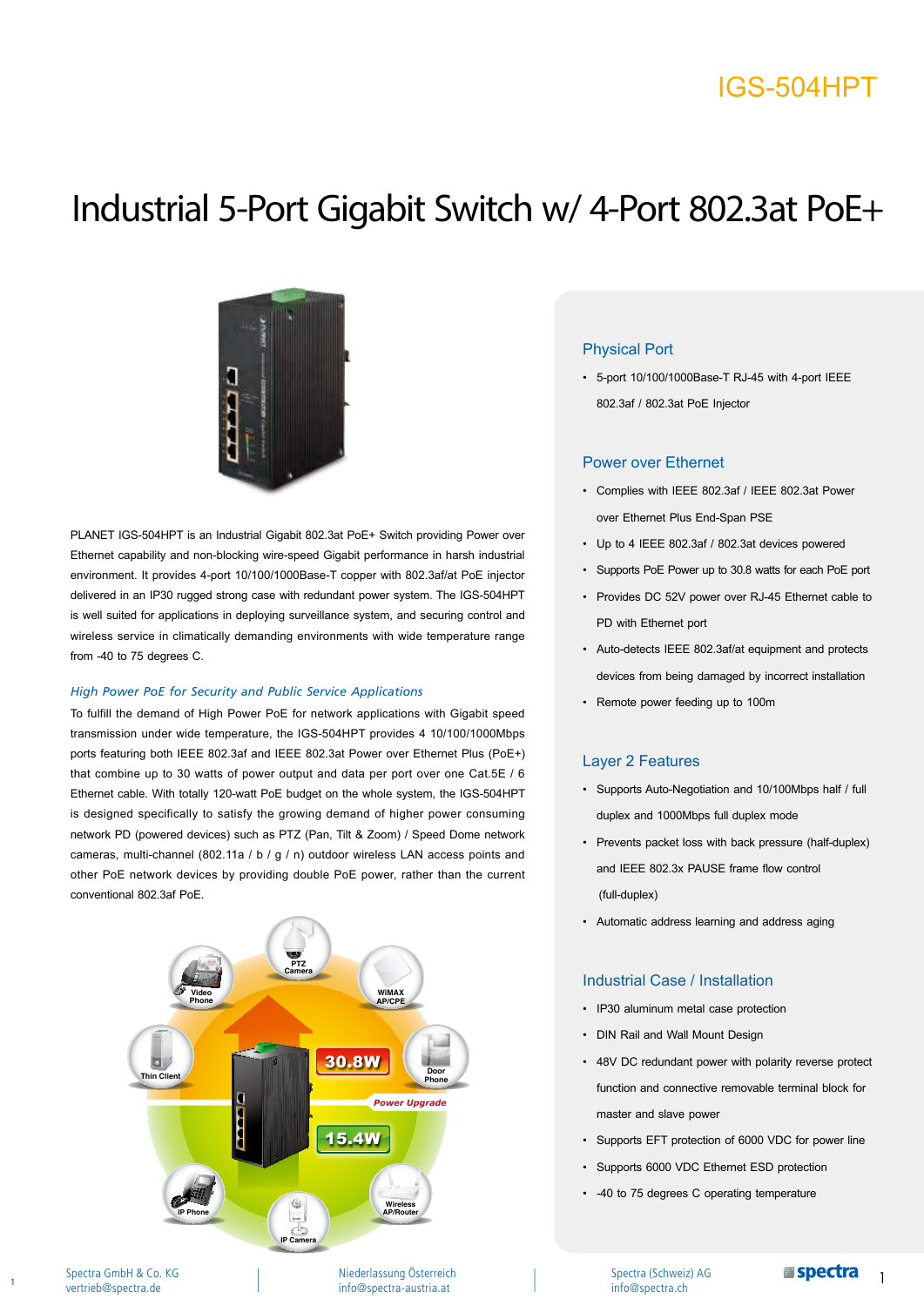## IGS-504HPT

# Industrial 5-Port Gigabit Switch w/ 4-Port 802.3at PoE+



PLANET IGS-504HPT is an Industrial Gigabit 802.3at PoE+ Switch providing Power over Ethernet capability and non-blocking wire-speed Gigabit performance in harsh industrial environment. It provides 4-port 10/100/1000Base-T copper with 802.3af/at PoE injector delivered in an IP30 rugged strong case with redundant power system. The IGS-504HPT is well suited for applications in deploying surveillance system, and securing control and wireless service in climatically demanding environments with wide temperature range from -40 to 75 degrees C.

#### *High Power PoE for Security and Public Service Applications*

To fulfill the demand of High Power PoE for network applications with Gigabit speed transmission under wide temperature, the IGS-504HPT provides 4 10/100/1000Mbps ports featuring both IEEE 802.3af and IEEE 802.3at Power over Ethernet Plus (PoE+) that combine up to 30 watts of power output and data per port over one Cat.5E / 6 Ethernet cable. With totally 120-watt PoE budget on the whole system, the IGS-504HPT is designed specifically to satisfy the growing demand of higher power consuming network PD (powered devices) such as PTZ (Pan, Tilt & Zoom) / Speed Dome network cameras, multi-channel (802.11a / b / g / n) outdoor wireless LAN access points and other PoE network devices by providing double PoE power, rather than the current conventional 802.3af PoE.



#### Spectra GmbH & Co. KG vertrieb@spectra.de

1

Niederlassung Österreich info@spectra-austria.at

#### Physical Port

• 5-port 10/100/1000Base-T RJ-45 with 4-port IEEE 802.3af / 802.3at PoE Injector

#### Power over Ethernet

- • Complies with IEEE 802.3af / IEEE 802.3at Power over Ethernet Plus End-Span PSE
- • Up to 4 IEEE 802.3af / 802.3at devices powered
- • Supports PoE Power up to 30.8 watts for each PoE port
- • Provides DC 52V power over RJ-45 Ethernet cable to PD with Ethernet port
- • Auto-detects IEEE 802.3af/at equipment and protects devices from being damaged by incorrect installation
- • Remote power feeding up to 100m

#### Layer 2 Features

- • Supports Auto-Negotiation and 10/100Mbps half / full duplex and 1000Mbps full duplex mode
- • Prevents packet loss with back pressure (half-duplex) and IEEE 802.3x PAUSE frame flow control (full-duplex)
- • Automatic address learning and address aging

#### Industrial Case / Installation

- • IP30 aluminum metal case protection
- • DIN Rail and Wall Mount Design
- • 48V DC redundant power with polarity reverse protect function and connective removable terminal block for master and slave power
- • Supports EFT protection of 6000 VDC for power line
- Supports 6000 VDC Ethernet ESD protection
- • -40 to 75 degrees C operating temperature

Spectra (Schweiz) AG info@spectra.ch

1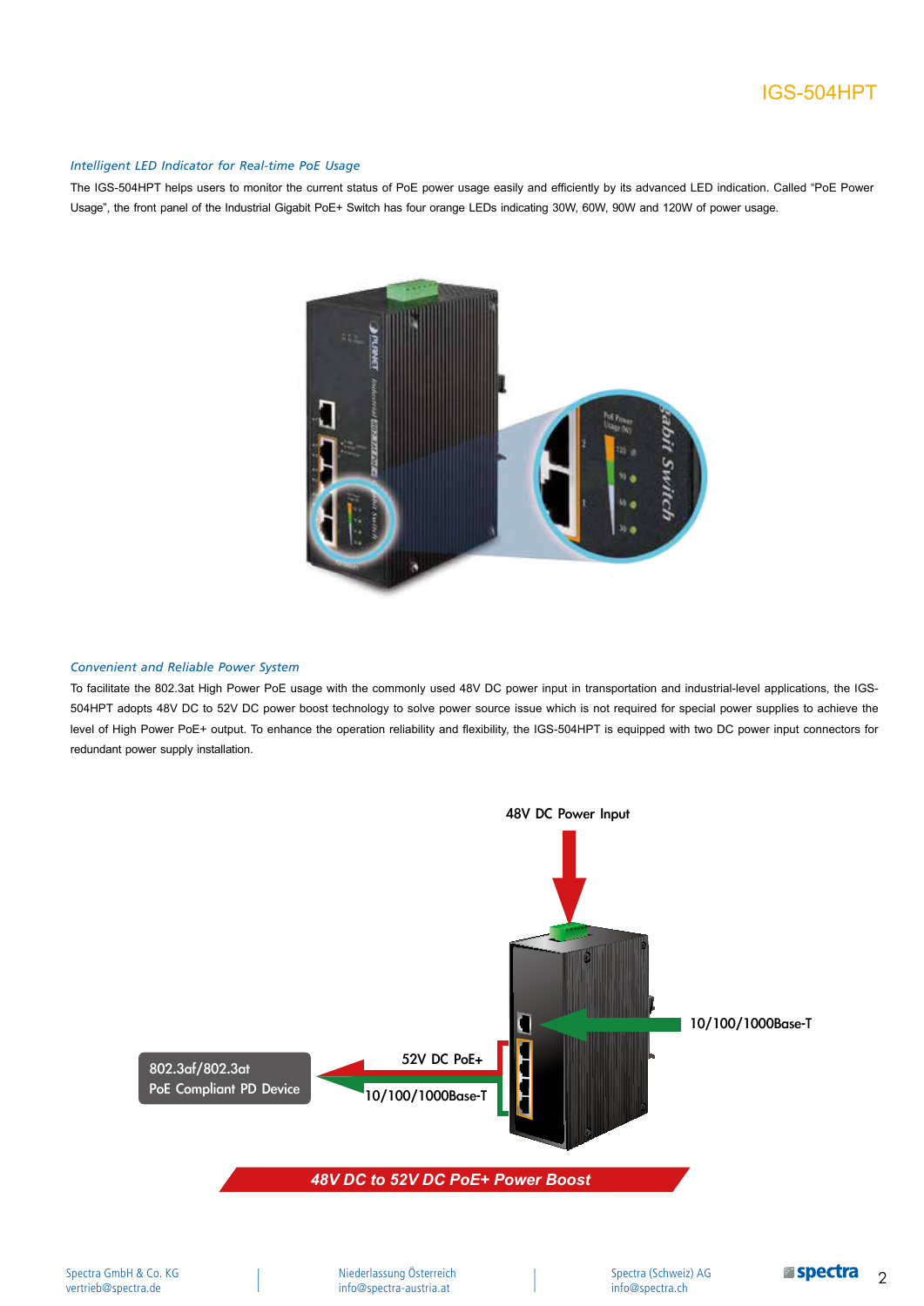### IGS-504HPT

#### *Intelligent LED Indicator for Real-time PoE Usage*

The IGS-504HPT helps users to monitor the current status of PoE power usage easily and efficiently by its advanced LED indication. Called "PoE Power Usage", the front panel of the Industrial Gigabit PoE+ Switch has four orange LEDs indicating 30W, 60W, 90W and 120W of power usage.



#### *Convenient and Reliable Power System*

To facilitate the 802.3at High Power PoE usage with the commonly used 48V DC power input in transportation and industrial-level applications, the IGS-504HPT adopts 48V DC to 52V DC power boost technology to solve power source issue which is not required for special power supplies to achieve the level of High Power PoE+ output. To enhance the operation reliability and flexibility, the IGS-504HPT is equipped with two DC power input connectors for redundant power supply installation.

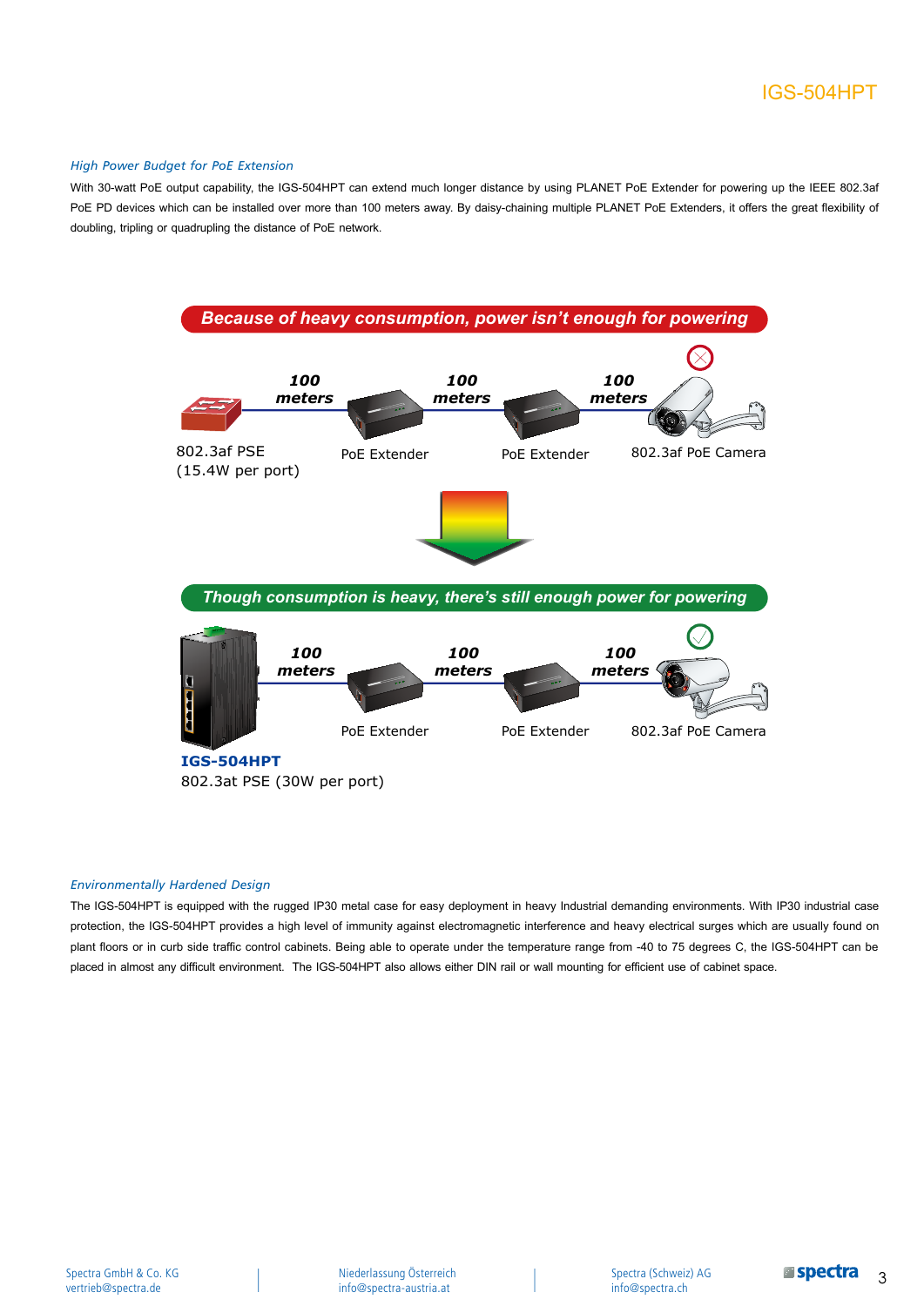#### *High Power Budget for PoE Extension*

With 30-watt PoE output capability, the IGS-504HPT can extend much longer distance by using PLANET PoE Extender for powering up the IEEE 802.3af PoE PD devices which can be installed over more than 100 meters away. By daisy-chaining multiple PLANET PoE Extenders, it offers the great flexibility of doubling, tripling or quadrupling the distance of PoE network.



#### *Environmentally Hardened Design*

The IGS-504HPT is equipped with the rugged IP30 metal case for easy deployment in heavy Industrial demanding environments. With IP30 industrial case protection, the IGS-504HPT provides a high level of immunity against electromagnetic interference and heavy electrical surges which are usually found on plant floors or in curb side traffic control cabinets. Being able to operate under the temperature range from -40 to 75 degrees C, the IGS-504HPT can be placed in almost any difficult environment. The IGS-504HPT also allows either DIN rail or wall mounting for efficient use of cabinet space.

Spectra (Schweiz) AG info@spectra.ch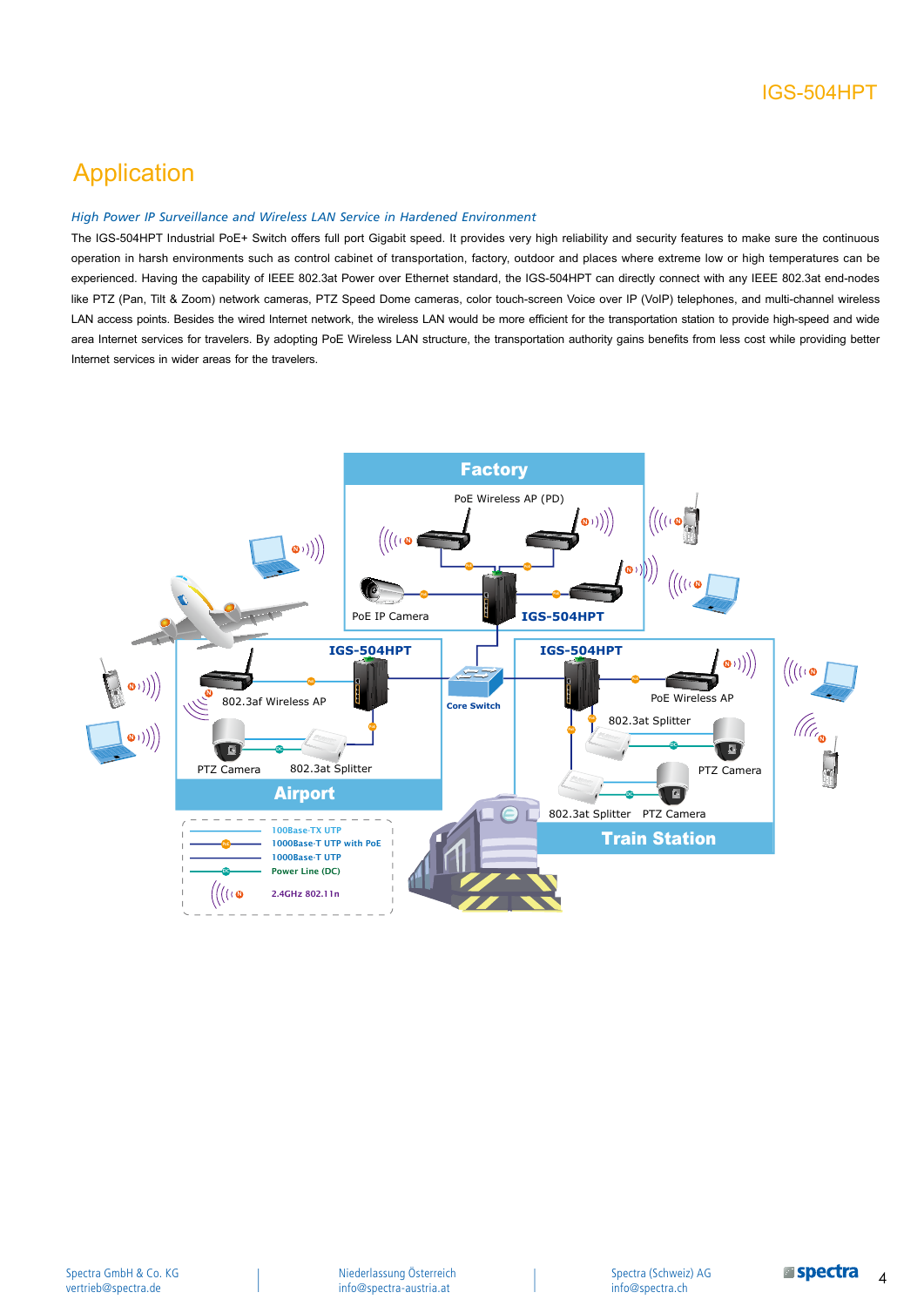### Application

#### *High Power IP Surveillance and Wireless LAN Service in Hardened Environment*

The IGS-504HPT Industrial PoE+ Switch offers full port Gigabit speed. It provides very high reliability and security features to make sure the continuous operation in harsh environments such as control cabinet of transportation, factory, outdoor and places where extreme low or high temperatures can be experienced. Having the capability of IEEE 802.3at Power over Ethernet standard, the IGS-504HPT can directly connect with any IEEE 802.3at end-nodes like PTZ (Pan, Tilt & Zoom) network cameras, PTZ Speed Dome cameras, color touch-screen Voice over IP (VoIP) telephones, and multi-channel wireless LAN access points. Besides the wired Internet network, the wireless LAN would be more efficient for the transportation station to provide high-speed and wide area Internet services for travelers. By adopting PoE Wireless LAN structure, the transportation authority gains benefits from less cost while providing better Internet services in wider areas for the travelers.

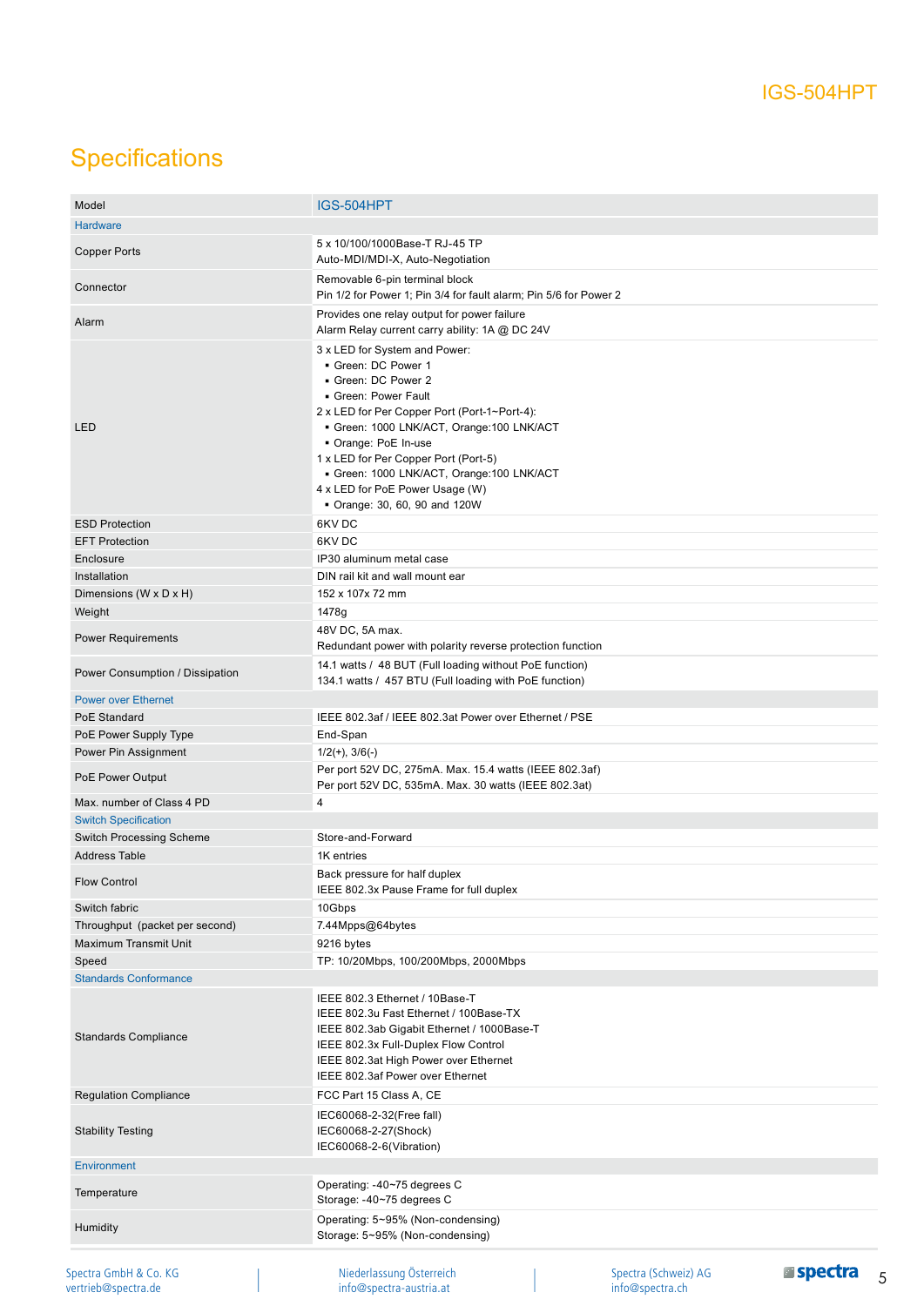# **Specifications**

vertrieb@spectra.de

| Model                                        | IGS-504HPT                                                                                                                                                                                                                                                                                                                                                           |                                         |                      |
|----------------------------------------------|----------------------------------------------------------------------------------------------------------------------------------------------------------------------------------------------------------------------------------------------------------------------------------------------------------------------------------------------------------------------|-----------------------------------------|----------------------|
| <b>Hardware</b>                              |                                                                                                                                                                                                                                                                                                                                                                      |                                         |                      |
| <b>Copper Ports</b>                          | 5 x 10/100/1000Base-T RJ-45 TP<br>Auto-MDI/MDI-X, Auto-Negotiation                                                                                                                                                                                                                                                                                                   |                                         |                      |
| Connector                                    | Removable 6-pin terminal block<br>Pin 1/2 for Power 1; Pin 3/4 for fault alarm; Pin 5/6 for Power 2                                                                                                                                                                                                                                                                  |                                         |                      |
| Alarm                                        | Provides one relay output for power failure<br>Alarm Relay current carry ability: 1A @ DC 24V                                                                                                                                                                                                                                                                        |                                         |                      |
| LED                                          | 3 x LED for System and Power:<br>Green: DC Power 1<br>Green: DC Power 2<br>Green: Power Fault<br>2 x LED for Per Copper Port (Port-1~Port-4):<br>Green: 1000 LNK/ACT, Orange: 100 LNK/ACT<br>Orange: PoE In-use<br>1 x LED for Per Copper Port (Port-5)<br>Green: 1000 LNK/ACT, Orange:100 LNK/ACT<br>4 x LED for PoE Power Usage (W)<br>Orange: 30, 60, 90 and 120W |                                         |                      |
| <b>ESD Protection</b>                        | 6KV DC                                                                                                                                                                                                                                                                                                                                                               |                                         |                      |
| <b>EFT Protection</b>                        | 6KV DC                                                                                                                                                                                                                                                                                                                                                               |                                         |                      |
| Enclosure                                    | IP30 aluminum metal case                                                                                                                                                                                                                                                                                                                                             |                                         |                      |
| Installation                                 | DIN rail kit and wall mount ear                                                                                                                                                                                                                                                                                                                                      |                                         |                      |
| Dimensions (W x D x H)                       | 152 x 107x 72 mm                                                                                                                                                                                                                                                                                                                                                     |                                         |                      |
| Weight                                       | 1478g                                                                                                                                                                                                                                                                                                                                                                |                                         |                      |
| <b>Power Requirements</b>                    | 48V DC, 5A max.<br>Redundant power with polarity reverse protection function                                                                                                                                                                                                                                                                                         |                                         |                      |
| Power Consumption / Dissipation              | 14.1 watts / 48 BUT (Full loading without PoE function)<br>134.1 watts / 457 BTU (Full loading with PoE function)                                                                                                                                                                                                                                                    |                                         |                      |
| <b>Power over Ethernet</b>                   |                                                                                                                                                                                                                                                                                                                                                                      |                                         |                      |
| PoE Standard                                 | IEEE 802.3af / IEEE 802.3at Power over Ethernet / PSE                                                                                                                                                                                                                                                                                                                |                                         |                      |
| PoE Power Supply Type                        | End-Span                                                                                                                                                                                                                                                                                                                                                             |                                         |                      |
| Power Pin Assignment                         | $1/2(+)$ , $3/6(-)$                                                                                                                                                                                                                                                                                                                                                  |                                         |                      |
| PoE Power Output                             | Per port 52V DC, 275mA. Max. 15.4 watts (IEEE 802.3af)<br>Per port 52V DC, 535mA. Max. 30 watts (IEEE 802.3at)                                                                                                                                                                                                                                                       |                                         |                      |
| Max, number of Class 4 PD                    | 4                                                                                                                                                                                                                                                                                                                                                                    |                                         |                      |
| <b>Switch Specification</b>                  |                                                                                                                                                                                                                                                                                                                                                                      |                                         |                      |
| <b>Switch Processing Scheme</b>              | Store-and-Forward                                                                                                                                                                                                                                                                                                                                                    |                                         |                      |
| <b>Address Table</b>                         | 1K entries                                                                                                                                                                                                                                                                                                                                                           |                                         |                      |
| <b>Flow Control</b>                          | Back pressure for half duplex<br>IEEE 802.3x Pause Frame for full duplex                                                                                                                                                                                                                                                                                             |                                         |                      |
| Switch fabric                                | 10Gbps                                                                                                                                                                                                                                                                                                                                                               |                                         |                      |
| Throughput (packet per second)               | 7.44Mpps@64bytes                                                                                                                                                                                                                                                                                                                                                     |                                         |                      |
| <b>Maximum Transmit Unit</b>                 | 9216 bytes                                                                                                                                                                                                                                                                                                                                                           |                                         |                      |
| Speed                                        | TP: 10/20Mbps, 100/200Mbps, 2000Mbps                                                                                                                                                                                                                                                                                                                                 |                                         |                      |
| <b>Standards Conformance</b>                 |                                                                                                                                                                                                                                                                                                                                                                      |                                         |                      |
| <b>Standards Compliance</b>                  | IEEE 802.3 Ethernet / 10Base-T<br>IEEE 802.3u Fast Ethernet / 100Base-TX<br>IEEE 802.3ab Gigabit Ethernet / 1000Base-T<br>IEEE 802.3x Full-Duplex Flow Control<br>IEEE 802.3at High Power over Ethernet<br>IEEE 802.3af Power over Ethernet                                                                                                                          |                                         |                      |
| <b>Regulation Compliance</b>                 | FCC Part 15 Class A, CE                                                                                                                                                                                                                                                                                                                                              |                                         |                      |
| <b>Stability Testing</b>                     | IEC60068-2-32(Free fall)<br>IEC60068-2-27(Shock)<br>IEC60068-2-6(Vibration)                                                                                                                                                                                                                                                                                          |                                         |                      |
| Environment                                  |                                                                                                                                                                                                                                                                                                                                                                      |                                         |                      |
| Temperature                                  | Operating: -40~75 degrees C<br>Storage: -40~75 degrees C                                                                                                                                                                                                                                                                                                             |                                         |                      |
| Humidity                                     | Operating: 5~95% (Non-condensing)<br>Storage: 5~95% (Non-condensing)                                                                                                                                                                                                                                                                                                 |                                         |                      |
| Spectra GmbH & Co. KG<br>vertrieb@spectra.de | Niederlassung Österreich<br>info@spectra-austria.at                                                                                                                                                                                                                                                                                                                  | Spectra (Schweiz) AG<br>info@spectra.ch | <b>Espectra</b><br>5 |

info@spectra-austria.at

info@spectra.ch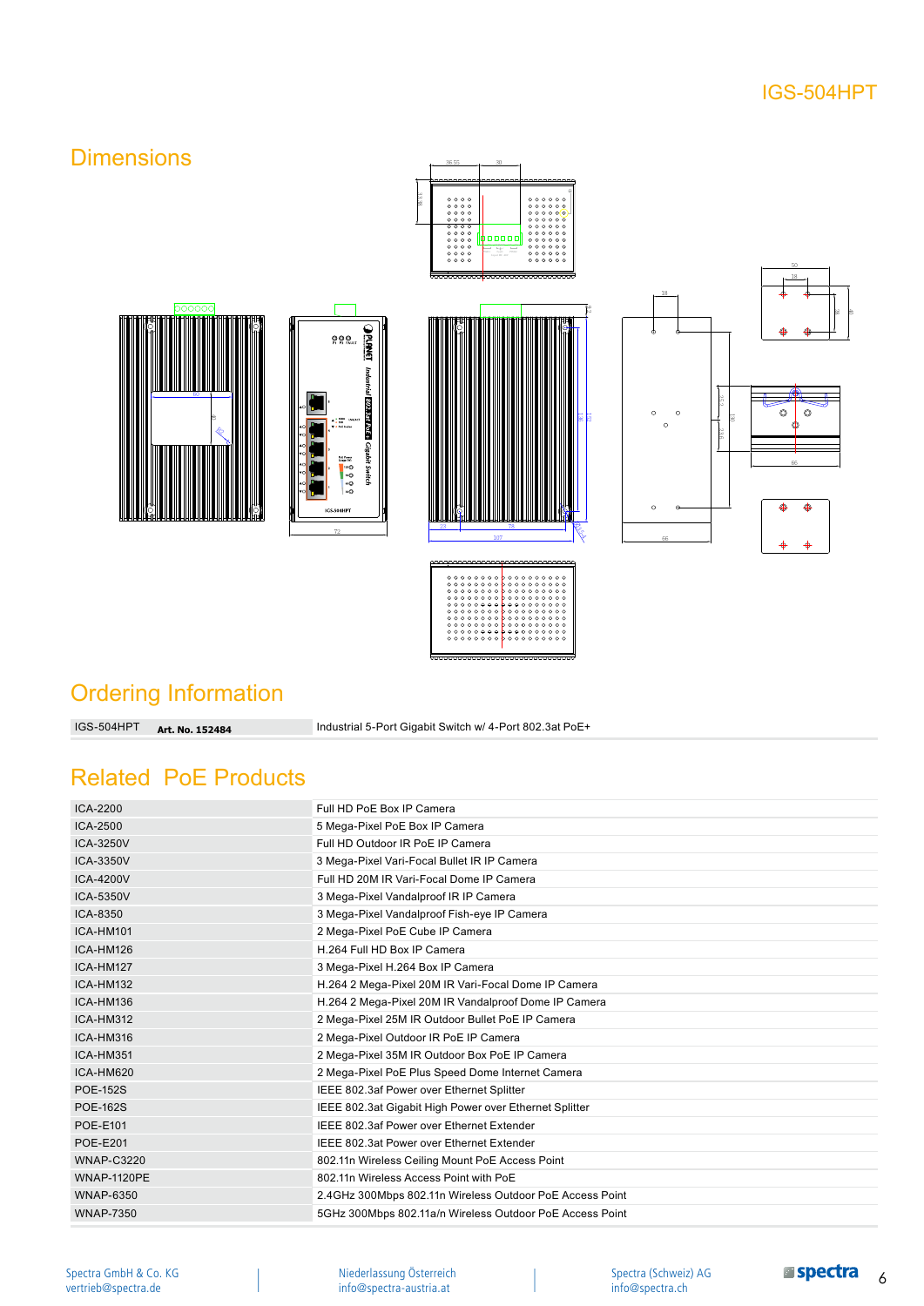### IGS-504HPT

### **Dimensions**





33.38

36.55

30

 $\frac{00}{00}$ 



### Ordering Information

**Art. No. 152484**

60

Industrial 5-Port Gigabit Switch w/ 4-Port 802.3at PoE+

### Related PoE Products

| ICA-2200           | Full HD PoE Box IP Camera                                |
|--------------------|----------------------------------------------------------|
| ICA-2500           | 5 Mega-Pixel PoE Box IP Camera                           |
| ICA-3250V          | Full HD Outdoor IR PoE IP Camera                         |
| <b>ICA-3350V</b>   | 3 Mega-Pixel Vari-Focal Bullet IR IP Camera              |
| <b>ICA-4200V</b>   | Full HD 20M IR Vari-Focal Dome IP Camera                 |
| <b>ICA-5350V</b>   | 3 Mega-Pixel Vandalproof IR IP Camera                    |
| ICA-8350           | 3 Mega-Pixel Vandalproof Fish-eye IP Camera              |
| ICA-HM101          | 2 Mega-Pixel PoE Cube IP Camera                          |
| ICA-HM126          | H.264 Full HD Box IP Camera                              |
| ICA-HM127          | 3 Mega-Pixel H.264 Box IP Camera                         |
| ICA-HM132          | H.264 2 Mega-Pixel 20M IR Vari-Focal Dome IP Camera      |
| ICA-HM136          | H.264 2 Mega-Pixel 20M IR Vandalproof Dome IP Camera     |
| ICA-HM312          | 2 Mega-Pixel 25M IR Outdoor Bullet PoE IP Camera         |
| ICA-HM316          | 2 Mega-Pixel Outdoor IR PoE IP Camera                    |
| ICA-HM351          | 2 Mega-Pixel 35M IR Outdoor Box PoE IP Camera            |
| ICA-HM620          | 2 Mega-Pixel PoE Plus Speed Dome Internet Camera         |
| <b>POE-152S</b>    | IEEE 802.3af Power over Ethernet Splitter                |
| <b>POE-162S</b>    | IEEE 802.3at Gigabit High Power over Ethernet Splitter   |
| <b>POE-E101</b>    | IEEE 802.3af Power over Ethernet Extender                |
| <b>POE-E201</b>    | IEEE 802.3at Power over Ethernet Extender                |
| <b>WNAP-C3220</b>  | 802.11n Wireless Ceiling Mount PoE Access Point          |
| <b>WNAP-1120PE</b> | 802.11n Wireless Access Point with PoE                   |
| <b>WNAP-6350</b>   | 2.4GHz 300Mbps 802.11n Wireless Outdoor PoE Access Point |
| <b>WNAP-7350</b>   | 5GHz 300Mbps 802.11a/n Wireless Outdoor PoE Access Point |

Niederlassung Österreich info@spectra-austria.at